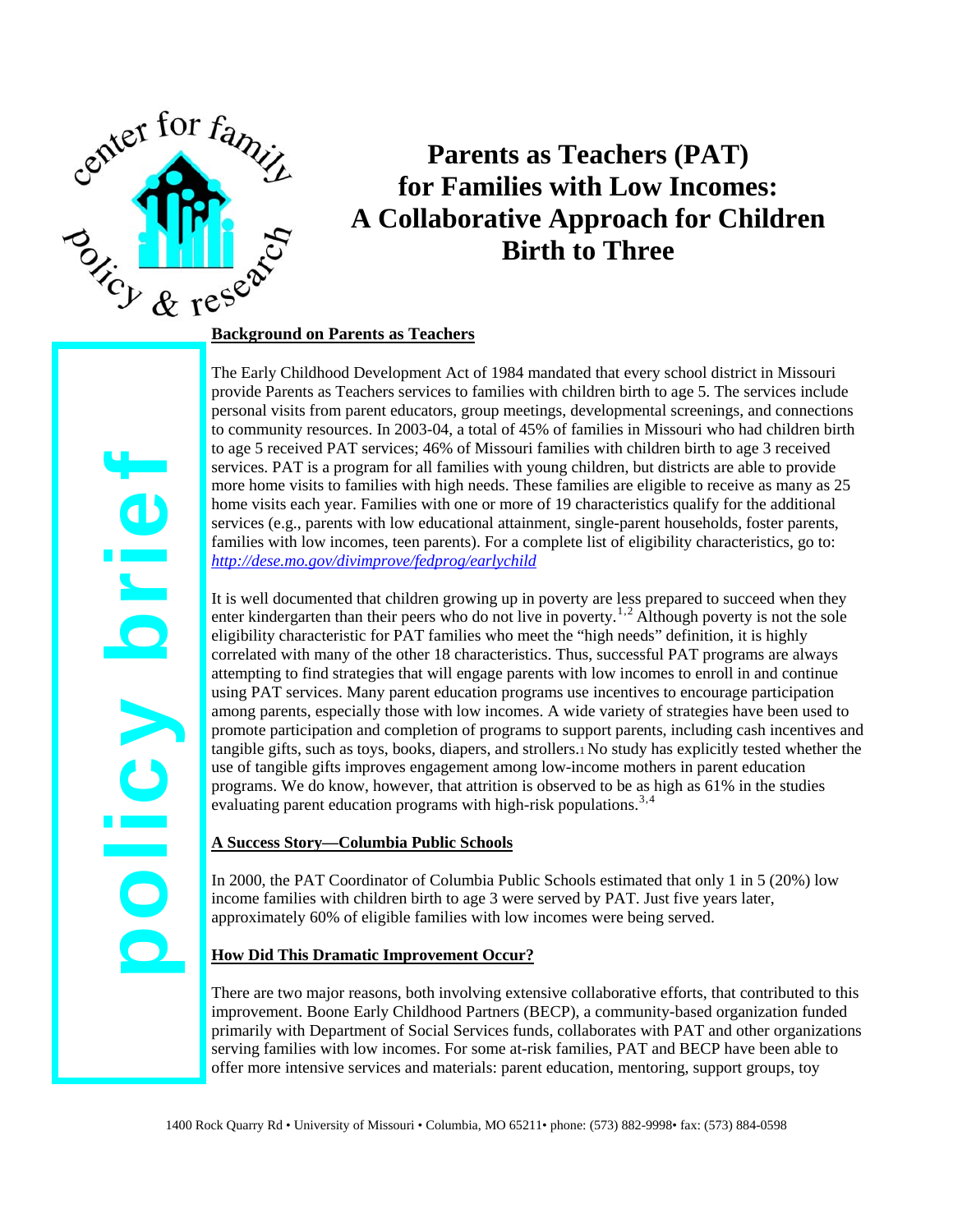

# **Parents as Teachers (PAT) for Families with Low Incomes: A Collaborative Approach for Children Birth to Three**

The Early Childhood Development Act of 1984 mandated that every school district in Missouri provide Parents as Teachers services to families with children birth to age 5. The services include personal visits from parent educators, group meetings, developmental screenings, and connections to community resources. In 2003-04, a total of 45% of families in Missouri who had children birth to age 5 received PAT services; 46% of Missouri families with children birth to age 3 received services. PAT is a program for all families with young children, but districts are able to provide more home visits to families with high needs. These families are eligible to receive as many as 25 home visits each year. Families with one or more of 19 characteristics qualify for the additional services (e.g., parents with low educational attainment, single-parent households, foster parents, families with low incomes, teen parents). For a complete list of eligibility characteristics, go to: *<http://dese.mo.gov/divimprove/fedprog/earlychild>*

It is well documented that children growing up in poverty are less prepared to succeed when they enter kindergarten than their peers who do not live in poverty.<sup>[1](#page-1-0),[2](#page-1-1)</sup> Although poverty is not the sole eligibility characteristic for PAT families who meet the "high needs" definition, it is highly correlated with many of the other 18 characteristics. Thus, successful PAT programs are always attempting to find strategies that will engage parents with low incomes to enroll in and continue using PAT services. Many parent education programs use incentives to encourage participation among parents, especially those with low incomes. A wide variety of strategies have been used to promote participation and completion of programs to support parents, including cash incentives and tangible gifts, such as toys, books, diapers, and strollers.1 No study has explicitly tested whether the use of tangible gifts improves engagement among low-income mothers in parent education programs. We do know, however, that attrition is observed to be as high as 61% in the studies evaluating parent education programs with high-risk populations.<sup>[3](#page-1-2),[4](#page-1-3)</sup>

### **A Success Story—Columbia Public Schools**

In 2000, the PAT Coordinator of Columbia Public Schools estimated that only 1 in 5 (20%) low income families with children birth to age 3 were served by PAT. Just five years later, approximately 60% of eligible families with low incomes were being served.

### **How Did This Dramatic Improvement Occur?**

There are two major reasons, both involving extensive collaborative efforts, that contributed to this improvement. Boone Early Childhood Partners (BECP), a community-based organization funded primarily with Department of Social Services funds, collaborates with PAT and other organizations serving families with low incomes. For some at-risk families, PAT and BECP have been able to offer more intensive services and materials: parent education, mentoring, support groups, toy